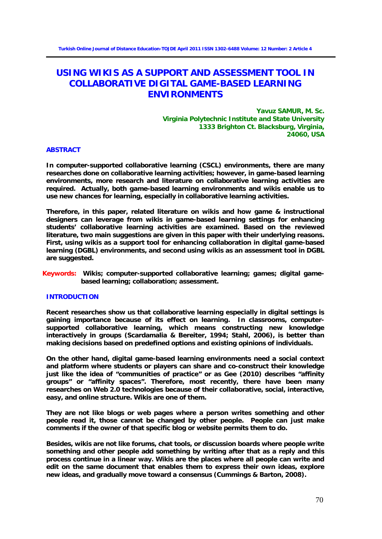# **USING WIKIS AS A SUPPORT AND ASSESSMENT TOOL IN COLLABORATIVE DIGITAL GAME-BASED LEARNING ENVIRONMENTS**

**Yavuz SAMUR, M. Sc. Virginia Polytechnic Institute and State University 1333 Brighton Ct. Blacksburg, Virginia, 24060, USA**

# **ABSTRACT**

**In computer-supported collaborative learning (CSCL) environments, there are many researches done on collaborative learning activities; however, in game-based learning environments, more research and literature on collaborative learning activities are required. Actually, both game-based learning environments and wikis enable us to use new chances for learning, especially in collaborative learning activities.** 

**Therefore, in this paper, related literature on wikis and how game & instructional designers can leverage from wikis in game-based learning settings for enhancing students' collaborative learning activities are examined. Based on the reviewed literature, two main suggestions are given in this paper with their underlying reasons. First, using wikis as a support tool for enhancing collaboration in digital game-based learning (DGBL) environments, and second using wikis as an assessment tool in DGBL are suggested.**

**Keywords: Wikis; computer-supported collaborative learning; games; digital gamebased learning; collaboration; assessment.**

## **INTRODUCTION**

**Recent researches show us that collaborative learning especially in digital settings is gaining importance because of its effect on learning. In classrooms, computersupported collaborative learning, which means constructing new knowledge interactively in groups (Scardamalia & Bereiter, 1994; Stahl, 2006), is better than making decisions based on predefined options and existing opinions of individuals.** 

**On the other hand, digital game-based learning environments need a social context and platform where students or players can share and co-construct their knowledge just like the idea of "communities of practice" or as Gee (2010) describes "affinity groups" or "affinity spaces". Therefore, most recently, there have been many researches on Web 2.0 technologies because of their collaborative, social, interactive, easy, and online structure. Wikis are one of them.** 

**They are not like blogs or web pages where a person writes something and other people read it, those cannot be changed by other people. People can just make comments if the owner of that specific blog or website permits them to do.** 

**Besides, wikis are not like forums, chat tools, or discussion boards where people write something and other people add something by writing after that as a reply and this process continue in a linear way. Wikis are the places where all people can write and edit on the same document that enables them to express their own ideas, explore new ideas, and gradually move toward a consensus (Cummings & Barton, 2008).**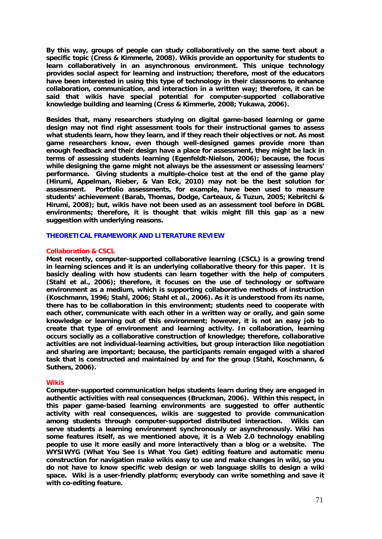**By this way, groups of people can study collaboratively on the same text about a specific topic (Cress & Kimmerle, 2008). Wikis provide an opportunity for students to learn collaboratively in an asynchronous environment. This unique technology provides social aspect for learning and instruction; therefore, most of the educators have been interested in using this type of technology in their classrooms to enhance collaboration, communication, and interaction in a written way; therefore, it can be said that wikis have special potential for computer-supported collaborative knowledge building and learning (Cress & Kimmerle, 2008; Yukawa, 2006).** 

**Besides that, many researchers studying on digital game-based learning or game design may not find right assessment tools for their instructional games to assess what students learn, how they learn, and if they reach their objectives or not. As most game researchers know, even though well-designed games provide more than enough feedback and their design have a place for assessment, they might be lack in terms of assessing students learning (Egenfeldt-Nielson, 2006); because, the focus while designing the game might not always be the assessment or assessing learners' performance. Giving students a multiple-choice test at the end of the game play (Hirumi, Appelman, Rieber, & Van Eck, 2010) may not be the best solution for assessment. Portfolio assessments, for example, have been used to measure students' achievement (Barab, Thomas, Dodge, Carteaux, & Tuzun, 2005; Kebritchi & Hirumi, 2008); but, wikis have not been used as an assessment tool before in DGBL environments; therefore, it is thought that wikis might fill this gap as a new suggestion with underlying reasons.**

# **THEORETICAL FRAMEWORK AND LITERATURE REVIEW**

## **Collaboration & CSCL**

**Most recently, computer-supported collaborative learning (CSCL) is a growing trend in learning sciences and it is an underlying collaborative theory for this paper. It is basicly dealing with how students can learn together with the help of computers (Stahl et al., 2006); therefore, it focuses on the use of technology or software environment as a medium, which is supporting collaborative methods of instruction (Koschmann, 1996; Stahl, 2006; Stahl et al., 2006). As it is understood from its name, there has to be collaboration in this environment; students need to cooperate with each other, communicate with each other in a written way or orally, and gain some knowledge or learning out of this environment; however, it is not an easy job to create that type of environment and learning activity. In collaboration, learning occurs socially as a collaborative construction of knowledge; therefore, collaborative activities are not individual-learning activities, but group interaction like negotiation and sharing are important; because, the participants remain engaged with a shared task that is constructed and maintained by and for the group (Stahl, Koschmann, & Suthers, 2006).** 

## **Wikis**

**Computer-supported communication helps students learn during they are engaged in authentic activities with real consequences (Bruckman, 2006). Within this respect, in this paper game-based learning environments are suggested to offer authentic activity with real consequences, wikis are suggested to provide communication among students through computer-supported distributed interaction. Wikis can serve students a learning environment synchronously or asynchronously. Wiki has some features itself, as we mentioned above, it is a Web 2.0 technology enabling people to use it more easily and more interactively than a blog or a website. The WYSIWYG (What You See Is What You Get) editing feature and automatic menu construction for navigation make wikis easy to use and make changes in wiki, so you do not have to know specific web design or web language skills to design a wiki space. Wiki is a user-friendly platform; everybody can write something and save it with co-editing feature.**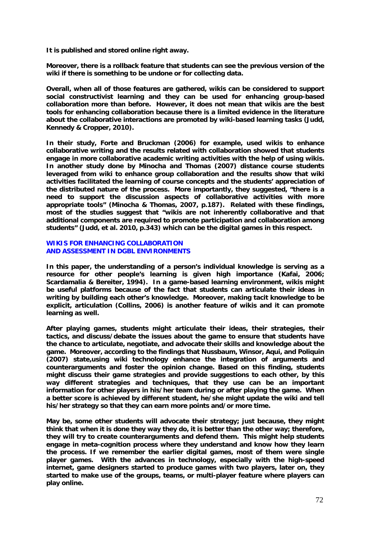**It is published and stored online right away.** 

**Moreover, there is a rollback feature that students can see the previous version of the wiki if there is something to be undone or for collecting data.** 

**Overall, when all of those features are gathered, wikis can be considered to support social constructivist learning and they can be used for enhancing group-based collaboration more than before. However, it does not mean that wikis are the best tools for enhancing collaboration because there is a limited evidence in the literature about the collaborative interactions are promoted by wiki-based learning tasks (Judd, Kennedy & Cropper, 2010).**

**In their study, Forte and Bruckman (2006) for example, used wikis to enhance collaborative writing and the results related with collaboration showed that students engage in more collaborative academic writing activities with the help of using wikis. In another study done by Minocha and Thomas (2007) distance course students leveraged from wiki to enhance group collaboration and the results show that wiki activities facilitated the learning of course concepts and the students' appreciation of the distributed nature of the process. More importantly, they suggested, "there is a need to support the discussion aspects of collaborative activities with more appropriate tools" (Minocha & Thomas, 2007, p.187). Related with these findings, most of the studies suggest that "wikis are not inherently collaborative and that additional components are required to promote participation and collaboration among students" (Judd, et al. 2010, p.343) which can be the digital games in this respect.**

# **WIKIS FOR ENHANCING COLLABORATION AND ASSESSMENT IN DGBL ENVIRONMENTS**

**In this paper, the understanding of a person's individual knowledge is serving as a resource for other people's learning is given high importance (Kafai, 2006; Scardamalia & Bereiter, 1994). In a game-based learning environment, wikis might be useful platforms because of the fact that students can articulate their ideas in writing by building each other's knowledge. Moreover, making tacit knowledge to be explicit, articulation (Collins, 2006) is another feature of wikis and it can promote learning as well.** 

**After playing games, students might articulate their ideas, their strategies, their tactics, and discuss/debate the issues about the game to ensure that students have the chance to articulate, negotiate, and advocate their skills and knowledge about the game. Moreover, according to the findings that Nussbaum, Winsor, Aqui, and Poliquin (2007) state,using wiki technology enhance the integration of arguments and counterarguments and foster the opinion change. Based on this finding, students might discuss their game strategies and provide suggestions to each other, by this way different strategies and techniques, that they use can be an important information for other players in his/her team during or after playing the game. When a better score is achieved by different student, he/she might update the wiki and tell his/her strategy so that they can earn more points and/or more time.** 

**May be, some other students will advocate their strategy; just because, they might think that when it is done they way they do, it is better than the other way; therefore, they will try to create counterarguments and defend them. This might help students engage in meta-cognition process where they understand and know how they learn the process. If we remember the earlier digital games, most of them were single player games. With the advances in technology, especially with the high-speed internet, game designers started to produce games with two players, later on, they started to make use of the groups, teams, or multi-player feature where players can play online.**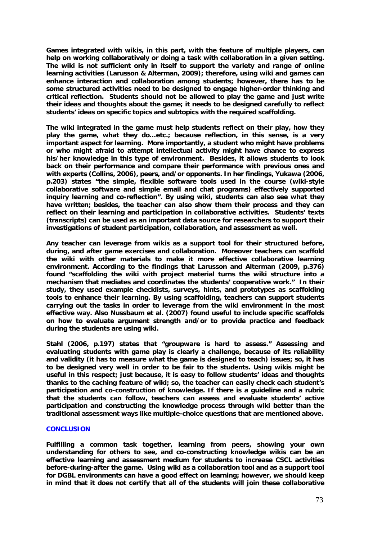**Games integrated with wikis, in this part, with the feature of multiple players, can help on working collaboratively or doing a task with collaboration in a given setting. The wiki is not sufficient only in itself to support the variety and range of online learning activities (Larusson & Alterman, 2009); therefore, using wiki and games can enhance interaction and collaboration among students; however, there has to be some structured activities need to be designed to engage higher-order thinking and critical reflection. Students should not be allowed to play the game and just write their ideas and thoughts about the game; it needs to be designed carefully to reflect students' ideas on specific topics and subtopics with the required scaffolding.** 

**The wiki integrated in the game must help students reflect on their play, how they play the game, what they do…etc.; because reflection, in this sense, is a very important aspect for learning. More importantly, a student who might have problems or who might afraid to attempt intellectual activity might have chance to express his/her knowledge in this type of environment. Besides, it allows students to look back on their performance and compare their performance with previous ones and with experts (Collins, 2006), peers, and/or opponents. In her findings, Yukawa (2006, p.203) states "the simple, flexible software tools used in the course (wiki-style collaborative software and simple email and chat programs) effectively supported inquiry learning and co-reflection". By using wiki, students can also see what they have written; besides, the teacher can also show them their process and they can reflect on their learning and participation in collaborative activities. Students' texts (transcripts) can be used as an important data source for researchers to support their investigations of student participation, collaboration, and assessment as well.** 

**Any teacher can leverage from wikis as a support tool for their structured before, during, and after game exercises and collaboration. Moreover teachers can scaffold the wiki with other materials to make it more effective collaborative learning environment. According to the findings that Larusson and Alterman (2009, p.376) found "scaffolding the wiki with project material turns the wiki structure into a mechanism that mediates and coordinates the students' cooperative work." In their study, they used example checklists, surveys, hints, and prototypes as scaffolding tools to enhance their learning. By using scaffolding, teachers can support students carrying out the tasks in order to leverage from the wiki environment in the most effective way. Also Nussbaum et al. (2007) found useful to include specific scaffolds on how to evaluate argument strength and/or to provide practice and feedback during the students are using wiki.**

**Stahl (2006, p.197) states that "groupware is hard to assess." Assessing and evaluating students with game play is clearly a challenge, because of its reliability and validity (it has to measure what the game is designed to teach) issues; so, it has to be designed very well in order to be fair to the students. Using wikis might be useful in this respect; just because, it is easy to follow students' ideas and thoughts thanks to the caching feature of wiki; so, the teacher can easily check each student's participation and co-construction of knowledge. If there is a guideline and a rubric that the students can follow, teachers can assess and evaluate students' active participation and constructing the knowledge process through wiki better than the traditional assessment ways like multiple-choice questions that are mentioned above.**

#### **CONCLUSION**

**Fulfilling a common task together, learning from peers, showing your own understanding for others to see, and co-constructing knowledge wikis can be an effective learning and assessment medium for students to increase CSCL activities before-during-after the game. Using wiki as a collaboration tool and as a support tool for DGBL environments can have a good effect on learning; however, we should keep in mind that it does not certify that all of the students will join these collaborative**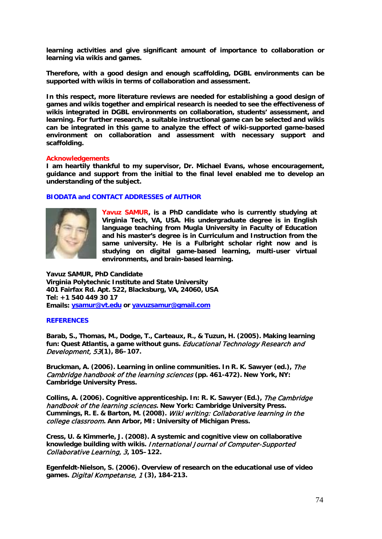**learning activities and give significant amount of importance to collaboration or learning via wikis and games.** 

**Therefore, with a good design and enough scaffolding, DGBL environments can be supported with wikis in terms of collaboration and assessment.** 

**In this respect, more literature reviews are needed for establishing a good design of games and wikis together and empirical research is needed to see the effectiveness of wikis integrated in DGBL environments on collaboration, students' assessment, and learning. For further research, a suitable instructional game can be selected and wikis can be integrated in this game to analyze the effect of wiki-supported game-based environment on collaboration and assessment with necessary support and scaffolding.**

## **Acknowledgements**

**I am heartily thankful to my supervisor, Dr. Michael Evans, whose encouragement, guidance and support from the initial to the final level enabled me to develop an understanding of the subject.**

# **BIODATA and CONTACT ADDRESSES of AUTHOR**



**Yavuz SAMUR, is a PhD candidate who is currently studying at Virginia Tech, VA, USA. His undergraduate degree is in English language teaching from Mugla University in Faculty of Education and his master's degree is in Curriculum and Instruction from the same university. He is a Fulbright scholar right now and is studying on digital game-based learning, multi-user virtual environments, and brain-based learning.**

**Yavuz SAMUR, PhD Candidate Virginia Polytechnic Institute and State University 401 Fairfax Rd. Apt. 522, Blacksburg, VA, 24060, USA Tel: +1 540 449 30 17 Emails: [ysamur@vt.edu](mailto:ysamur@vt.edu) or [yavuzsamur@gmail.com](mailto:yavuzsamur@gmail.com)**

#### **REFERENCES**

**Barab, S., Thomas, M., Dodge, T., Carteaux, R., & Tuzun, H. (2005). Making learning fun: Quest Atlantis, a game without guns.** Educational Technology Research and Development, 53**(1), 86–107.** 

**Bruckman, A. (2006). Learning in online communities. In R. K. Sawyer (ed.),** The Cambridge handbook of the learning sciences **(pp. 461-472). New York, NY: Cambridge University Press.**

**Collins, A. (2006). Cognitive apprenticeship. In: R. K. Sawyer (Ed.),** The Cambridge handbook of the learning sciences**. New York: Cambridge University Press. Cummings, R. E. & Barton, M. (2008).** Wiki writing: Collaborative learning in the college classroom**. Ann Arbor, MI: University of Michigan Press.**

**Cress, U. & Kimmerle, J. (2008). A systemic and cognitive view on collaborative knowledge building with wikis.** International Journal of Computer-Supported Collaborative Learning, 3**, 105–122.**

**Egenfeldt-Nielson, S. (2006). Overview of research on the educational use of video games.** Digital Kompetanse, 1 **(3), 184-213.**